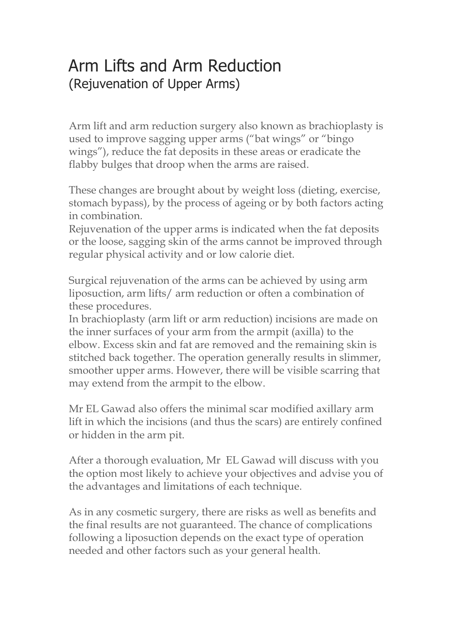## Arm Lifts and Arm Reduction (Rejuvenation of Upper Arms)

Arm lift and arm reduction surgery also known as brachioplasty is used to improve sagging upper arms ("bat wings" or "bingo wings"), reduce the fat deposits in these areas or eradicate the flabby bulges that droop when the arms are raised.

These changes are brought about by weight loss (dieting, exercise, stomach bypass), by the process of ageing or by both factors acting in combination.

Rejuvenation of the upper arms is indicated when the fat deposits or the loose, sagging skin of the arms cannot be improved through regular physical activity and or low calorie diet.

Surgical rejuvenation of the arms can be achieved by using arm liposuction, arm lifts/ arm reduction or often a combination of these procedures.

In brachioplasty (arm lift or arm reduction) incisions are made on the inner surfaces of your arm from the armpit (axilla) to the elbow. Excess skin and fat are removed and the remaining skin is stitched back together. The operation generally results in slimmer, smoother upper arms. However, there will be visible scarring that may extend from the armpit to the elbow.

Mr EL Gawad also offers the minimal scar modified axillary arm lift in which the incisions (and thus the scars) are entirely confined or hidden in the arm pit.

After a thorough evaluation, Mr EL Gawad will discuss with you the option most likely to achieve your objectives and advise you of the advantages and limitations of each technique.

As in any cosmetic surgery, there are risks as well as benefits and the final results are not guaranteed. The chance of complications following a liposuction depends on the exact type of operation needed and other factors such as your general health.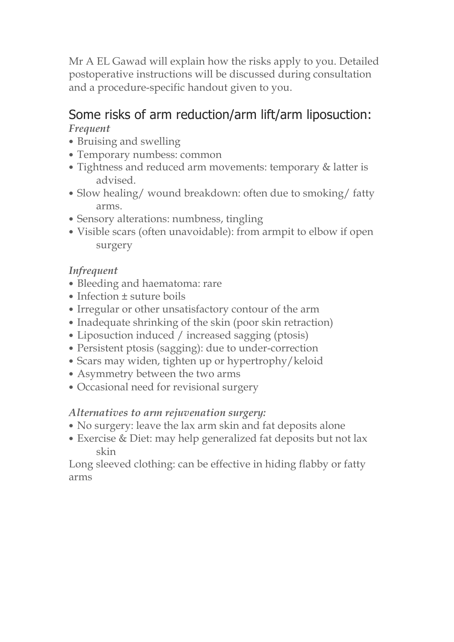Mr A EL Gawad will explain how the risks apply to you. Detailed postoperative instructions will be discussed during consultation and a procedure-specific handout given to you.

# Some risks of arm reduction/arm lift/arm liposuction:

*Frequent*

- Bruising and swelling
- Temporary numbess: common
- Tightness and reduced arm movements: temporary & latter is advised.
- Slow healing/ wound breakdown: often due to smoking/ fatty arms.
- Sensory alterations: numbness, tingling
- Visible scars (often unavoidable): from armpit to elbow if open surgery

## *Infrequent*

- Bleeding and haematoma: rare
- Infection ± suture boils
- Irregular or other unsatisfactory contour of the arm
- Inadequate shrinking of the skin (poor skin retraction)
- Liposuction induced / increased sagging (ptosis)
- Persistent ptosis (sagging): due to under-correction
- Scars may widen, tighten up or hypertrophy/keloid
- Asymmetry between the two arms
- Occasional need for revisional surgery

## *Alternatives to arm rejuvenation surgery:*

- No surgery: leave the lax arm skin and fat deposits alone
- Exercise & Diet: may help generalized fat deposits but not lax skin

Long sleeved clothing: can be effective in hiding flabby or fatty arms